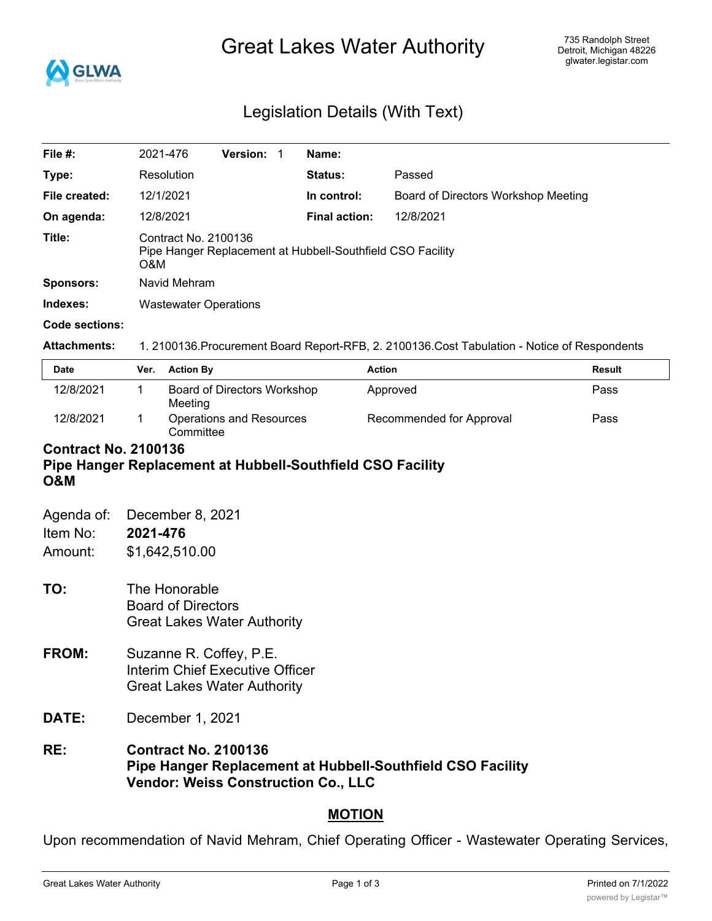

# Great Lakes Water Authority

# Legislation Details (With Text)

| File $#$ :          | 2021-476                                                                                      | Version: |  | Name:                |                                     |
|---------------------|-----------------------------------------------------------------------------------------------|----------|--|----------------------|-------------------------------------|
| Type:               | Resolution                                                                                    |          |  | Status:              | Passed                              |
| File created:       | 12/1/2021                                                                                     |          |  | In control:          | Board of Directors Workshop Meeting |
| On agenda:          | 12/8/2021                                                                                     |          |  | <b>Final action:</b> | 12/8/2021                           |
| Title:              | Contract No. 2100136<br>Pipe Hanger Replacement at Hubbell-Southfield CSO Facility<br>O&M     |          |  |                      |                                     |
| <b>Sponsors:</b>    | Navid Mehram                                                                                  |          |  |                      |                                     |
| Indexes:            | <b>Wastewater Operations</b>                                                                  |          |  |                      |                                     |
| Code sections:      |                                                                                               |          |  |                      |                                     |
| <b>Attachments:</b> | 1. 2100136. Procurement Board Report-RFB, 2. 2100136. Cost Tabulation - Notice of Respondents |          |  |                      |                                     |

| <b>Date</b> | Ver. | <b>Action By</b>                       | <b>Action</b>            | Result |
|-------------|------|----------------------------------------|--------------------------|--------|
| 12/8/2021   |      | Board of Directors Workshop<br>Meeting | Approved                 | Pass   |
| 12/8/2021   |      | Operations and Resources<br>Committee  | Recommended for Approval | Pass   |

## **Contract No. 2100136 Pipe Hanger Replacement at Hubbell-Southfield CSO Facility O&M**

| Agenda of:<br>Item No:<br>Amount: | December 8, 2021<br>2021-476<br>\$1,642,510.00                                                          |
|-----------------------------------|---------------------------------------------------------------------------------------------------------|
| TO:                               | The Honorable<br><b>Board of Directors</b><br><b>Great Lakes Water Authority</b>                        |
| FROM:                             | Suzanne R. Coffey, P.E.<br><b>Interim Chief Executive Officer</b><br><b>Great Lakes Water Authority</b> |
| <b>DATE:</b>                      | December 1, 2021                                                                                        |
| RE:                               | <b>Contract No. 2100136</b><br>Pipe Hanger Replacement at Hubbell-Southfield CSO Facility               |

# **Vendor: Weiss Construction Co., LLC**

# **MOTION**

Upon recommendation of Navid Mehram, Chief Operating Officer - Wastewater Operating Services,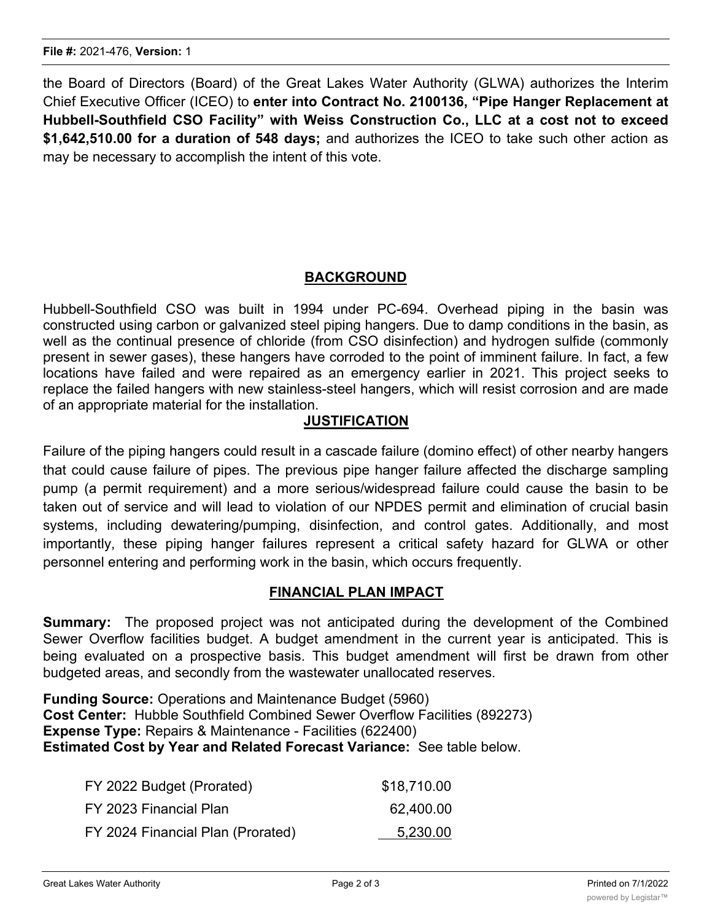the Board of Directors (Board) of the Great Lakes Water Authority (GLWA) authorizes the Interim Chief Executive Officer (ICEO) to **enter into Contract No. 2100136, "Pipe Hanger Replacement at Hubbell-Southfield CSO Facility" with Weiss Construction Co., LLC at a cost not to exceed \$1,642,510.00 for a duration of 548 days;** and authorizes the ICEO to take such other action as may be necessary to accomplish the intent of this vote.

# **BACKGROUND**

Hubbell-Southfield CSO was built in 1994 under PC-694. Overhead piping in the basin was constructed using carbon or galvanized steel piping hangers. Due to damp conditions in the basin, as well as the continual presence of chloride (from CSO disinfection) and hydrogen sulfide (commonly present in sewer gases), these hangers have corroded to the point of imminent failure. In fact, a few locations have failed and were repaired as an emergency earlier in 2021. This project seeks to replace the failed hangers with new stainless-steel hangers, which will resist corrosion and are made of an appropriate material for the installation.

# **JUSTIFICATION**

Failure of the piping hangers could result in a cascade failure (domino effect) of other nearby hangers that could cause failure of pipes. The previous pipe hanger failure affected the discharge sampling pump (a permit requirement) and a more serious/widespread failure could cause the basin to be taken out of service and will lead to violation of our NPDES permit and elimination of crucial basin systems, including dewatering/pumping, disinfection, and control gates. Additionally, and most importantly, these piping hanger failures represent a critical safety hazard for GLWA or other personnel entering and performing work in the basin, which occurs frequently.

#### **FINANCIAL PLAN IMPACT**

**Summary:** The proposed project was not anticipated during the development of the Combined Sewer Overflow facilities budget. A budget amendment in the current year is anticipated. This is being evaluated on a prospective basis. This budget amendment will first be drawn from other budgeted areas, and secondly from the wastewater unallocated reserves.

**Funding Source:** Operations and Maintenance Budget (5960) **Cost Center:** Hubble Southfield Combined Sewer Overflow Facilities (892273) **Expense Type:** Repairs & Maintenance - Facilities (622400) **Estimated Cost by Year and Related Forecast Variance:** See table below.

| FY 2022 Budget (Prorated)         | \$18,710.00 |
|-----------------------------------|-------------|
| FY 2023 Financial Plan            | 62,400.00   |
| FY 2024 Financial Plan (Prorated) | 5,230.00    |